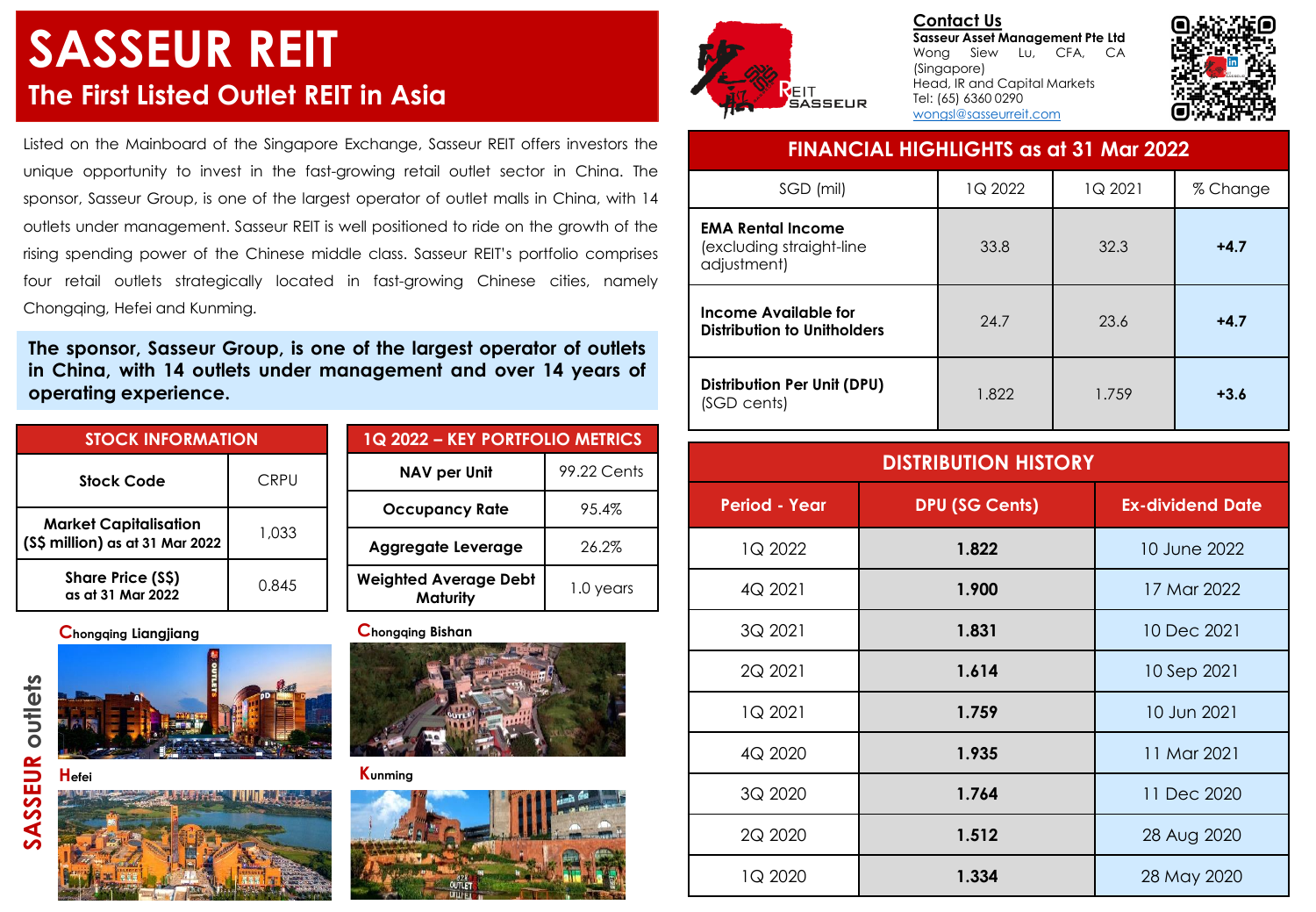# **SASSEUR REIT The First Listed Outlet REIT in Asia**

Listed on the Mainboard of the Singapore Exchange, Sasseur REIT offers investors the unique opportunity to invest in the fast-growing retail outlet sector in China. The sponsor, Sasseur Group, is one of the largest operator of outlet malls in China, with 14 outlets under management. Sasseur REIT is well positioned to ride on the growth of the rising spending power of the Chinese middle class. Sasseur REIT's portfolio comprises four retail outlets strategically located in fast-growing Chinese cities, namely Chongqing, Hefei and Kunming.

**The sponsor, Sasseur Group, is one of the largest operator of outlets in China, with 14 outlets under management and over 14 years of operating experience.**

| <b>STOCK INFORMATION</b>                                        |       |  | 1Q 2022 - KEY PORTFOLIO METRICS                 |             |
|-----------------------------------------------------------------|-------|--|-------------------------------------------------|-------------|
| <b>Stock Code</b>                                               | CRPU  |  | NAV per Unit                                    | 99.22 Cents |
| <b>Market Capitalisation</b><br>(S\$ million) as at 31 Mar 2022 | 1,033 |  | <b>Occupancy Rate</b>                           | 95.4%       |
|                                                                 |       |  | <b>Aggregate Leverage</b>                       | 26.2%       |
| Share Price (S\$)<br>as at 31 Mar 2022                          | 0.845 |  | <b>Weighted Average Debt</b><br><b>Maturity</b> | l .0 years  |

**Chongqing Liangjiang Chongqing Bishan**







**Contact Us Sasseur Asset Management Pte Ltd** Wong Siew Lu, CFA, CA (Singapore) Head, IR and Capital Markets Tel: (65) 6360 0290 [wongsl@sasseurreit.com](mailto:wongsl@sasseurreit.com)



### **FINANCIAL HIGHLIGHTS as at 31 Mar 2022**

| SGD (mil)                                                           | 1Q 2022 | 1Q 2021 | % Change |
|---------------------------------------------------------------------|---------|---------|----------|
| <b>EMA Rental Income</b><br>(excluding straight-line<br>adjustment) | 33.8    | 32.3    | $+4.7$   |
| Income Available for<br>Distribution to Unitholders                 | 24.7    | 23.6    | $+4.7$   |
| Distribution Per Unit (DPU)<br>(SGD cents)                          | 1.822   | 1.759   | $+3.6$   |

| <b>DISTRIBUTION HISTORY</b> |                       |                         |
|-----------------------------|-----------------------|-------------------------|
| <b>Period - Year</b>        | <b>DPU (SG Cents)</b> | <b>Ex-dividend Date</b> |
| 1Q 2022                     | 1.822                 | 10 June 2022            |
| 4Q 2021                     | 1.900                 | 17 Mar 2022             |
| 3Q 2021                     | 1.831                 | 10 Dec 2021             |
| 2Q 2021                     | 1.614                 | 10 Sep 2021             |
| 1Q 2021                     | 1.759                 | 10 Jun 2021             |
| 4Q 2020                     | 1.935                 | 11 Mar 2021             |
| 3Q 2020                     | 1.764                 | 11 Dec 2020             |
| 2Q 2020                     | 1.512                 | 28 Aug 2020             |
| 1Q 2020                     | 1.334                 | 28 May 2020             |



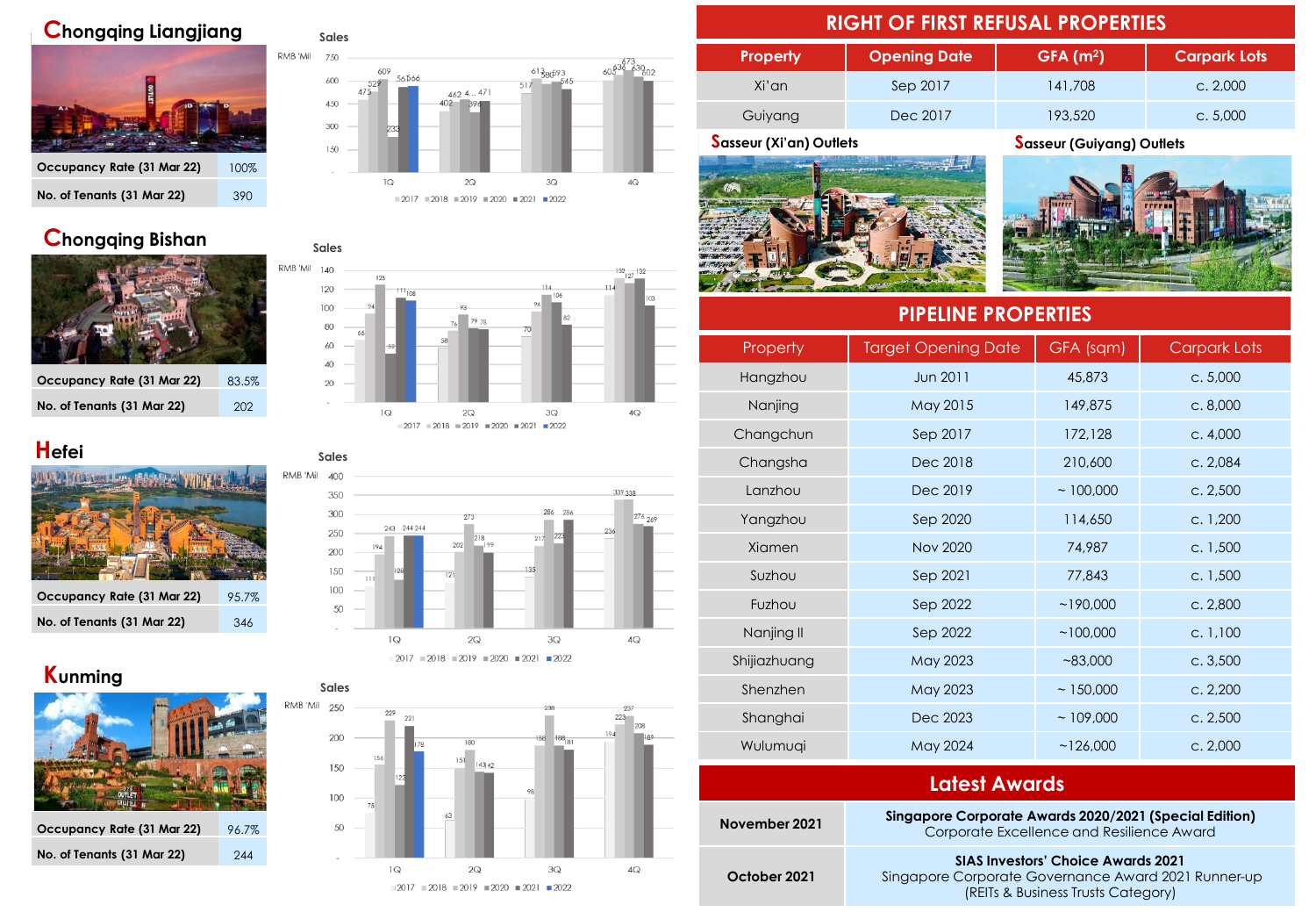### **Chongqing Liangjiang**



### RMB 'Mil 750  $60\frac{63}{6}$  63002  $^{61}$ 380<sup>593</sup> 609 56566 600  $517$ 529 462 4... 471 450 300 150  $\mathcal{Q}$  $2Q$  $3{\textsf{Q}}$  $4O$  $2017 = 2018 = 2019 = 2020 = 2021 = 2022$

**Sales**

### **Chongqing Bishan**



**Occupancy Rate (31 Mar 22)** 83.5% **No. of Tenants (31 Mar 22)** 202

### **Hefei**



| Occupancy Rate (31 Mar 22) | 95.7% |
|----------------------------|-------|
| No. of Tenants (31 Mar 22) | 346   |

## **Kunming**



| Occupancy Rate (31 Mar 22) | 96.7% |
|----------------------------|-------|
| No. of Tenants (31 Mar 22) | 244   |







### **RIGHT OF FIRST REFUSAL PROPERTIES**

| <b>Property</b> | <b>Opening Date</b> | $GFA$ (m <sup>2</sup> ) | <b>Carpark Lots</b> |
|-----------------|---------------------|-------------------------|---------------------|
| Xi'an           | Sep 2017            | 141,708                 | c. 2.000            |
| Guiyang         | Dec 2017            | 193,520                 | c. 5.000            |



**Sasseur (Xi'an) Outlets Sasseur (Guiyang) Outlets**



| <b>PIPELINE PROPERTIES</b> |                            |           |              |
|----------------------------|----------------------------|-----------|--------------|
| Property                   | <b>Target Opening Date</b> | GFA (sqm) | Carpark Lots |
| Hangzhou                   | Jun 2011                   | 45,873    | c. 5,000     |
| Nanjing                    | May 2015                   | 149,875   | c.8,000      |
| Changchun                  | Sep 2017                   | 172,128   | c. 4,000     |
| Changsha                   | Dec 2018                   | 210,600   | c. 2,084     |
| Lanzhou                    | Dec 2019                   | ~100,000  | c. 2,500     |
| Yangzhou                   | Sep 2020                   | 114,650   | c. 1,200     |
| Xiamen                     | <b>Nov 2020</b>            | 74,987    | c. 1,500     |
| Suzhou                     | Sep 2021                   | 77,843    | c. 1,500     |
| Fuzhou                     | Sep 2022                   | ~190,000  | c. 2,800     |
| Nanjing II                 | Sep 2022                   | ~100,000  | c. 1,100     |
| Shijiazhuang               | May 2023                   | ~83,000   | c.3,500      |
| Shenzhen                   | May 2023                   | ~150,000  | c. 2,200     |
| Shanghai                   | Dec 2023                   | ~109,000  | c. 2,500     |
| Wulumuqi                   | May 2024                   | ~126,000  | c. 2,000     |

| Latest Awards |                                                                                                     |  |
|---------------|-----------------------------------------------------------------------------------------------------|--|
| November 2021 | Singapore Corporate Awards 2020/2021 (Special Edition)<br>Corporate Excellence and Resilience Award |  |
| October 2021  | <b>SIAS Investors' Choice Awards 2021</b><br>Singapore Corporate Governance Award 2021 Runner-up    |  |

(REITs & Business Trusts Category)